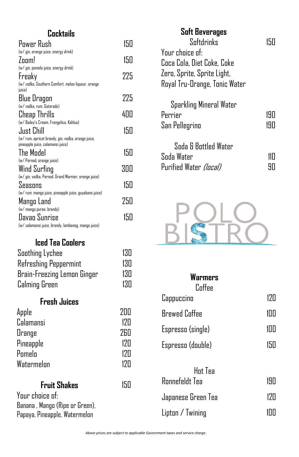# **Cocktails**

| Power Rush                                             | 150 |
|--------------------------------------------------------|-----|
| (w/ gin, orange juice, energy drink)                   |     |
| Zoom!                                                  | 150 |
| (w/ gin, pomelo juice, energy drink)                   |     |
| <b>Freaky</b>                                          | 225 |
| (w/ vodka, Southern Comfort, melon liqueur, orange     |     |
| juice)                                                 |     |
| Blue Dragon                                            | 225 |
| (w/ vodka, rum, Gatorade)                              |     |
| Cheap Thrills                                          | 400 |
| (w/ Bailey's Cream, Frangelico, Kahlua)                |     |
| Just Chill                                             | 150 |
| (w/ rum, apricot brandy, gin, vodka, orange juice,     |     |
| pineapple juice, calamansi juice)                      |     |
| The Model                                              | 150 |
| (w/ Pernod, orange juice)                              |     |
| Wind Surfing                                           | 300 |
| (w/ gin, vodka, Pernod, Grand Marnier, orange juice)   |     |
| Seasons                                                | 150 |
| (w/ rum, mango juice, pineapple juice, guyabano juice) |     |
| Mango Land                                             | 250 |
| (w/ mango puree, brandy)                               |     |
| Davao Sunrise                                          | 150 |
| (w/ calamansi juice, brandy, lambanog, mango juice)    |     |

# **Iced Tea Coolers**

| Soothing Lychee             | 130 |
|-----------------------------|-----|
| Refreshing Peppermint       | 130 |
| Brain-Freezing Lemon Ginger | 130 |
| Calming Green               | 130 |

# **Fresh Juices**

| Apple            | 7ПП              |
|------------------|------------------|
| <b>Calamansi</b> | 17 <sub>II</sub> |
| Orange           | <b>760</b>       |
| Pineapple        | 17 <sub>II</sub> |
| Pomelo           | 17 <sub>II</sub> |
| Watermelon       | 17 <sub>II</sub> |

# **Fruit Shakes** 150

Your choice of: Banana , Mango (Ripe or Green), Papaya, Pineapple, Watermelon

| <b>Soft Beverages</b>                                        |            |
|--------------------------------------------------------------|------------|
| Softdrinks                                                   |            |
| Your choice of:                                              |            |
| Coca Cola, Diet Coke, Coke                                   |            |
| Zero, Sprite, Sprite Light,                                  |            |
| Royal Tru-Orange, Tonic Water                                |            |
| Sparkling Mineral Water<br>Perrier<br>San Pellegrino         | 190<br>190 |
| Soda & Bottled Water<br>Soda Water<br>Purified Water (local) |            |



| Warmers<br>Coffee         |     |
|---------------------------|-----|
| Cappuccino                | 120 |
| <b>Brewed Coffee</b>      | 100 |
| Espresso (single)         | 100 |
| Espresso (double)         | 150 |
| Hot Tea<br>Ronnefeldt Tea | 190 |
| Japanese Green Tea        | 120 |
| Lipton / Twining          |     |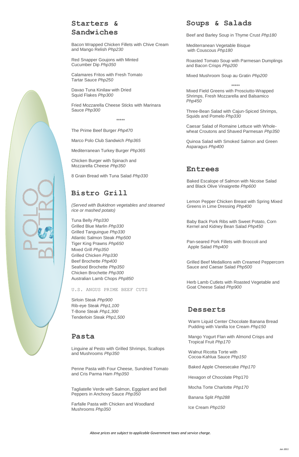# **Starters & Sandwiches**

Bacon Wrapped Chicken Fillets with Chive Cream and Mango Relish *Php230*

Red Snapper Goujons with Minted Cucumber Dip *Php350*

Calamares Fritos with Fresh Tomato Tartar Sauce *Php250*

Davao Tuna Kinilaw with Dried Squid Flakes *Php300*

Fried Mozzarella Cheese Sticks with Marinara Sauce *Php300*

\*\*\*\*\*

The Prime Beef Burger *Php470*

Marco Polo Club Sandwich *Php365*

Mediterranean Turkey Burger *Php365*

Chicken Burger with Spinach and Mozzarella Cheese *Php350*

8 Grain Bread with Tuna Salad *Php330*

# **Bistro Grill**

*(Served with Bukidnon vegetables and steamed rice or mashed potato)*

Tuna Belly *Php330* Grilled Blue Marlin *Php330* Grilled Tanguingue *Php330* Atlantic Salmon Steak *Php500* Tiger King Prawns *Php650* Mixed Grill *Php350* Grilled Chicken *Php330* Beef Brochette *Php400* Seafood Brochette *Php350* Chicken Brochette *Php300* Australian Lamb Chops *Php850*

U.S. ANGUS PRIME BEEF CUTS

Sirloin Steak *Php900* Rib-eye Steak *Php1,100* T-Bone Steak *Php1,300* Tenderloin Steak *Php1,500*

# **Pasta**

Linguine al Pesto with Grilled Shrimps, Scallops and Mushrooms *Php350*

Penne Pasta with Four Cheese, Sundried Tomato and Cris Parma Ham *Php350*

Tagliatelle Verde with Salmon, Eggplant and Bell Peppers in Anchovy Sauce *Php350*

Farfalle Pasta with Chicken and Woodland Mushrooms *Php350*

# **Soups & Salads**

Beef and Barley Soup in Thyme Crust *Php180*

Mediterranean Vegetable Bisque with Couscous *Php180*

Roasted Tomato Soup with Parmesan Dumplings and Bacon Crisps *Php200*

Mixed Mushroom Soup au Gratin *Php200*

\*\*\*\*\*

Mixed Field Greens with Prosciutto-Wrapped Shrimps, Fresh Mozzarella and Balsamico *Php450*

Three-Bean Salad with Cajun-Spiced Shrimps, Squids and Pomelo *Php330*

Caesar Salad of Romaine Lettuce with Wholewheat Croutons and Shaved Parmesan *Php350*

Quinoa Salad with Smoked Salmon and Green Asparagus *Php400*

## **Entrees**

Baked Escalope of Salmon with Nicoise Salad and Black Olive Vinaigrette *Php600*

Lemon Pepper Chicken Breast with Spring Mixed Greens in Lime Dressing *Php400*

Baby Back Pork Ribs with Sweet Potato, Corn Kernel and Kidney Bean Salad *Php450*

Pan-seared Pork Fillets with Broccoli and Apple Salad *Php400*

Grilled Beef Medallions with Creamed Peppercorn Sauce and Caesar Salad *Php500*

Herb Lamb Cutlets with Roasted Vegetable and Goat Cheese Salad *Php900*

### **Desserts**

Warm Liquid Center Chocolate Banana Bread Pudding with Vanilla Ice Cream *Php150*

Mango Yogurt Flan with Almond Crisps and Tropical Fruit *Php170*

Walnut Ricotta Torte with Cocoa-Kahlua Sauce *Php150*

Baked Apple Cheesecake *Php170*

Hexagon of Chocolate Php170

Mocha Torte Charlotte *Php170*

Banana Split *Php288*

Ice Cream *Php150*

*Above prices are subject to applicable Government taxes and service charge.*